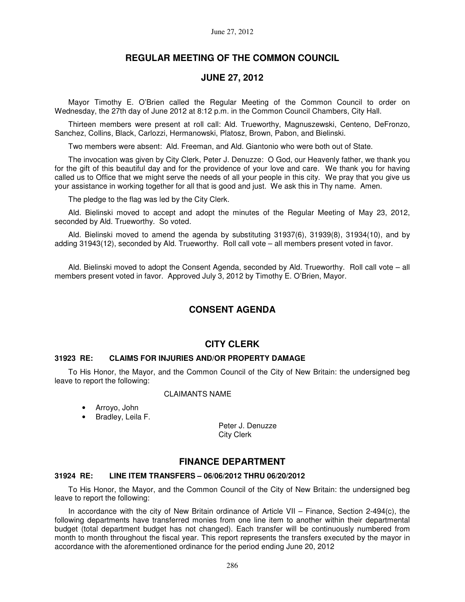# **REGULAR MEETING OF THE COMMON COUNCIL**

# **JUNE 27, 2012**

Mayor Timothy E. O'Brien called the Regular Meeting of the Common Council to order on Wednesday, the 27th day of June 2012 at 8:12 p.m. in the Common Council Chambers, City Hall.

Thirteen members were present at roll call: Ald. Trueworthy, Magnuszewski, Centeno, DeFronzo, Sanchez, Collins, Black, Carlozzi, Hermanowski, Platosz, Brown, Pabon, and Bielinski.

Two members were absent: Ald. Freeman, and Ald. Giantonio who were both out of State.

The invocation was given by City Clerk, Peter J. Denuzze: O God, our Heavenly father, we thank you for the gift of this beautiful day and for the providence of your love and care. We thank you for having called us to Office that we might serve the needs of all your people in this city. We pray that you give us your assistance in working together for all that is good and just. We ask this in Thy name. Amen.

The pledge to the flag was led by the City Clerk.

Ald. Bielinski moved to accept and adopt the minutes of the Regular Meeting of May 23, 2012, seconded by Ald. Trueworthy. So voted.

Ald. Bielinski moved to amend the agenda by substituting 31937(6), 31939(8), 31934(10), and by adding 31943(12), seconded by Ald. Trueworthy. Roll call vote – all members present voted in favor.

Ald. Bielinski moved to adopt the Consent Agenda, seconded by Ald. Trueworthy. Roll call vote – all members present voted in favor. Approved July 3, 2012 by Timothy E. O'Brien, Mayor.

# **CONSENT AGENDA**

# **CITY CLERK**

### **31923 RE: CLAIMS FOR INJURIES AND/OR PROPERTY DAMAGE**

To His Honor, the Mayor, and the Common Council of the City of New Britain: the undersigned beg leave to report the following:

## CLAIMANTS NAME

- Arroyo, John
- Bradley, Leila F.

Peter J. Denuzze City Clerk

## **FINANCE DEPARTMENT**

#### **31924 RE: LINE ITEM TRANSFERS – 06/06/2012 THRU 06/20/2012**

To His Honor, the Mayor, and the Common Council of the City of New Britain: the undersigned beg leave to report the following:

In accordance with the city of New Britain ordinance of Article VII – Finance, Section 2-494(c), the following departments have transferred monies from one line item to another within their departmental budget (total department budget has not changed). Each transfer will be continuously numbered from month to month throughout the fiscal year. This report represents the transfers executed by the mayor in accordance with the aforementioned ordinance for the period ending June 20, 2012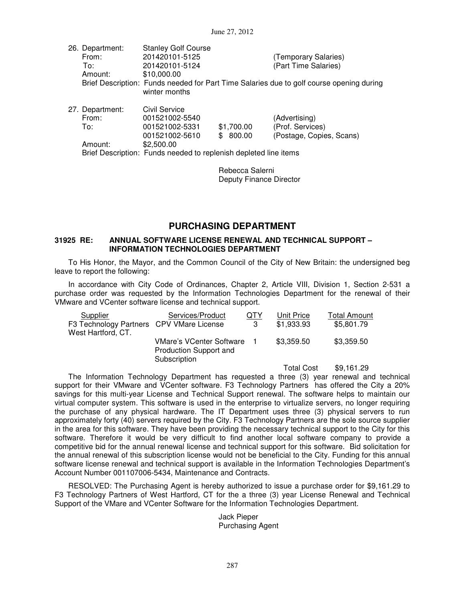| 26. Department:<br>From:<br>To:<br>Amount: | <b>Stanley Golf Course</b><br>201420101-5125<br>201420101-5124<br>\$10,000.00  |                            | (Temporary Salaries)<br>(Part Time Salaries)                                             |
|--------------------------------------------|--------------------------------------------------------------------------------|----------------------------|------------------------------------------------------------------------------------------|
|                                            | winter months                                                                  |                            | Brief Description: Funds needed for Part Time Salaries due to golf course opening during |
| 27. Department:<br>From:<br>To:            | Civil Service<br>001521002-5540<br>001521002-5331<br>001521002-5610            | \$1,700.00<br>800.00<br>£. | (Advertising)<br>(Prof. Services)<br>(Postage, Copies, Scans)                            |
| Amount:                                    | \$2,500.00<br>Brief Description: Funds needed to replenish depleted line items |                            |                                                                                          |

Rebecca Salerni Deputy Finance Director

# **PURCHASING DEPARTMENT**

### **31925 RE: ANNUAL SOFTWARE LICENSE RENEWAL AND TECHNICAL SUPPORT – INFORMATION TECHNOLOGIES DEPARTMENT**

To His Honor, the Mayor, and the Common Council of the City of New Britain: the undersigned beg leave to report the following:

In accordance with City Code of Ordinances, Chapter 2, Article VIII, Division 1, Section 2-531 a purchase order was requested by the Information Technologies Department for the renewal of their VMware and VCenter software license and technical support.

| Supplier                                                       | Services/Product                                                          | QTY | Unit Price | <b>Total Amount</b> |
|----------------------------------------------------------------|---------------------------------------------------------------------------|-----|------------|---------------------|
| F3 Technology Partners CPV VMare License<br>West Hartford, CT. |                                                                           | 3   | \$1,933.93 | \$5,801.79          |
|                                                                | <b>VMare's VCenter Software</b><br>Production Support and<br>Subscription |     | \$3.359.50 | \$3,359.50          |

Total Cost \$9,161.29

The Information Technology Department has requested a three (3) year renewal and technical support for their VMware and VCenter software. F3 Technology Partners has offered the City a 20% savings for this multi-year License and Technical Support renewal. The software helps to maintain our virtual computer system. This software is used in the enterprise to virtualize servers, no longer requiring the purchase of any physical hardware. The IT Department uses three (3) physical servers to run approximately forty (40) servers required by the City. F3 Technology Partners are the sole source supplier in the area for this software. They have been providing the necessary technical support to the City for this software. Therefore it would be very difficult to find another local software company to provide a competitive bid for the annual renewal license and technical support for this software. Bid solicitation for the annual renewal of this subscription license would not be beneficial to the City. Funding for this annual software license renewal and technical support is available in the Information Technologies Department's Account Number 001107006-5434, Maintenance and Contracts.

RESOLVED: The Purchasing Agent is hereby authorized to issue a purchase order for \$9,161.29 to F3 Technology Partners of West Hartford, CT for the a three (3) year License Renewal and Technical Support of the VMare and VCenter Software for the Information Technologies Department.

> Jack Pieper Purchasing Agent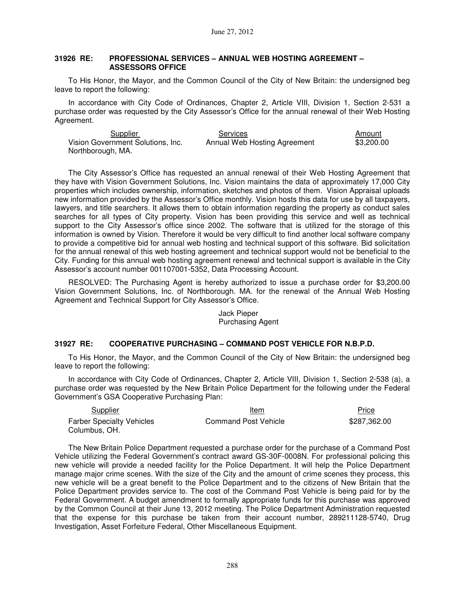### **31926 RE: PROFESSIONAL SERVICES – ANNUAL WEB HOSTING AGREEMENT – ASSESSORS OFFICE**

To His Honor, the Mayor, and the Common Council of the City of New Britain: the undersigned beg leave to report the following:

In accordance with City Code of Ordinances, Chapter 2, Article VIII, Division 1, Section 2-531 a purchase order was requested by the City Assessor's Office for the annual renewal of their Web Hosting Agreement.

| Supplier                          | <b>Services</b>              | Amount     |
|-----------------------------------|------------------------------|------------|
| Vision Government Solutions, Inc. | Annual Web Hosting Agreement | \$3,200,00 |
| Northborough, MA.                 |                              |            |

The City Assessor's Office has requested an annual renewal of their Web Hosting Agreement that they have with Vision Government Solutions, Inc. Vision maintains the data of approximately 17,000 City properties which includes ownership, information, sketches and photos of them. Vision Appraisal uploads new information provided by the Assessor's Office monthly. Vision hosts this data for use by all taxpayers, lawyers, and title searchers. It allows them to obtain information regarding the property as conduct sales searches for all types of City property. Vision has been providing this service and well as technical support to the City Assessor's office since 2002. The software that is utilized for the storage of this information is owned by Vision. Therefore it would be very difficult to find another local software company to provide a competitive bid for annual web hosting and technical support of this software. Bid solicitation for the annual renewal of this web hosting agreement and technical support would not be beneficial to the City. Funding for this annual web hosting agreement renewal and technical support is available in the City Assessor's account number 001107001-5352, Data Processing Account.

RESOLVED: The Purchasing Agent is hereby authorized to issue a purchase order for \$3,200.00 Vision Government Solutions, Inc. of Northborough. MA. for the renewal of the Annual Web Hosting Agreement and Technical Support for City Assessor's Office.

# Jack Pieper Purchasing Agent

## **31927 RE: COOPERATIVE PURCHASING – COMMAND POST VEHICLE FOR N.B.P.D.**

To His Honor, the Mayor, and the Common Council of the City of New Britain: the undersigned beg leave to report the following:

In accordance with City Code of Ordinances, Chapter 2, Article VIII, Division 1, Section 2-538 (a), a purchase order was requested by the New Britain Police Department for the following under the Federal Government's GSA Cooperative Purchasing Plan:

| Supplier                                          | Item                        | Price        |
|---------------------------------------------------|-----------------------------|--------------|
| <b>Farber Specialty Vehicles</b><br>Columbus, OH. | <b>Command Post Vehicle</b> | \$287.362.00 |

The New Britain Police Department requested a purchase order for the purchase of a Command Post Vehicle utilizing the Federal Government's contract award GS-30F-0008N. For professional policing this new vehicle will provide a needed facility for the Police Department. It will help the Police Department manage major crime scenes. With the size of the City and the amount of crime scenes they process, this new vehicle will be a great benefit to the Police Department and to the citizens of New Britain that the Police Department provides service to. The cost of the Command Post Vehicle is being paid for by the Federal Government. A budget amendment to formally appropriate funds for this purchase was approved by the Common Council at their June 13, 2012 meeting. The Police Department Administration requested that the expense for this purchase be taken from their account number, 289211128-5740, Drug Investigation, Asset Forfeiture Federal, Other Miscellaneous Equipment.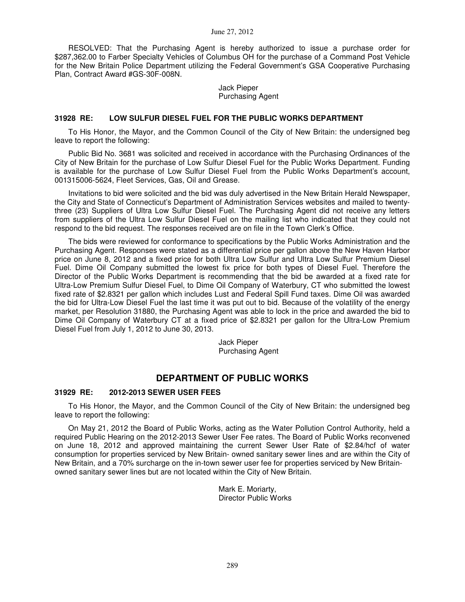#### June 27, 2012

RESOLVED: That the Purchasing Agent is hereby authorized to issue a purchase order for \$287,362.00 to Farber Specialty Vehicles of Columbus OH for the purchase of a Command Post Vehicle for the New Britain Police Department utilizing the Federal Government's GSA Cooperative Purchasing Plan, Contract Award #GS-30F-008N.

> Jack Pieper Purchasing Agent

#### **31928 RE: LOW SULFUR DIESEL FUEL FOR THE PUBLIC WORKS DEPARTMENT**

To His Honor, the Mayor, and the Common Council of the City of New Britain: the undersigned beg leave to report the following:

Public Bid No. 3681 was solicited and received in accordance with the Purchasing Ordinances of the City of New Britain for the purchase of Low Sulfur Diesel Fuel for the Public Works Department. Funding is available for the purchase of Low Sulfur Diesel Fuel from the Public Works Department's account, 001315006-5624, Fleet Services, Gas, Oil and Grease.

Invitations to bid were solicited and the bid was duly advertised in the New Britain Herald Newspaper, the City and State of Connecticut's Department of Administration Services websites and mailed to twentythree (23) Suppliers of Ultra Low Sulfur Diesel Fuel. The Purchasing Agent did not receive any letters from suppliers of the Ultra Low Sulfur Diesel Fuel on the mailing list who indicated that they could not respond to the bid request. The responses received are on file in the Town Clerk's Office.

The bids were reviewed for conformance to specifications by the Public Works Administration and the Purchasing Agent. Responses were stated as a differential price per gallon above the New Haven Harbor price on June 8, 2012 and a fixed price for both Ultra Low Sulfur and Ultra Low Sulfur Premium Diesel Fuel. Dime Oil Company submitted the lowest fix price for both types of Diesel Fuel. Therefore the Director of the Public Works Department is recommending that the bid be awarded at a fixed rate for Ultra-Low Premium Sulfur Diesel Fuel, to Dime Oil Company of Waterbury, CT who submitted the lowest fixed rate of \$2.8321 per gallon which includes Lust and Federal Spill Fund taxes. Dime Oil was awarded the bid for Ultra-Low Diesel Fuel the last time it was put out to bid. Because of the volatility of the energy market, per Resolution 31880, the Purchasing Agent was able to lock in the price and awarded the bid to Dime Oil Company of Waterbury CT at a fixed price of \$2.8321 per gallon for the Ultra-Low Premium Diesel Fuel from July 1, 2012 to June 30, 2013.

> Jack Pieper Purchasing Agent

# **DEPARTMENT OF PUBLIC WORKS**

#### **31929 RE: 2012-2013 SEWER USER FEES**

To His Honor, the Mayor, and the Common Council of the City of New Britain: the undersigned beg leave to report the following:

On May 21, 2012 the Board of Public Works, acting as the Water Pollution Control Authority, held a required Public Hearing on the 2012-2013 Sewer User Fee rates. The Board of Public Works reconvened on June 18, 2012 and approved maintaining the current Sewer User Rate of \$2.84/hcf of water consumption for properties serviced by New Britain- owned sanitary sewer lines and are within the City of New Britain, and a 70% surcharge on the in-town sewer user fee for properties serviced by New Britainowned sanitary sewer lines but are not located within the City of New Britain.

> Mark E. Moriarty, Director Public Works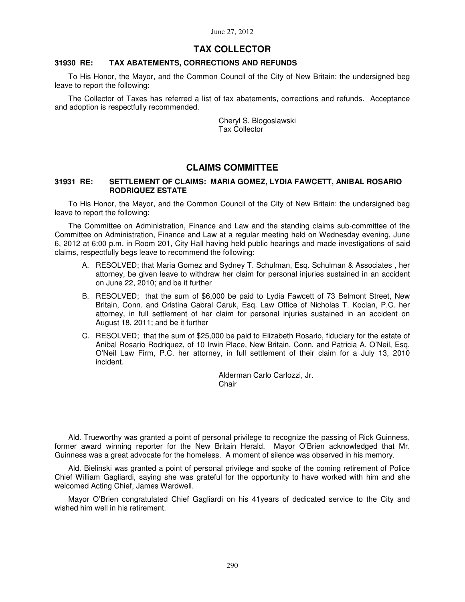# **TAX COLLECTOR**

### **31930 RE: TAX ABATEMENTS, CORRECTIONS AND REFUNDS**

To His Honor, the Mayor, and the Common Council of the City of New Britain: the undersigned beg leave to report the following:

The Collector of Taxes has referred a list of tax abatements, corrections and refunds. Acceptance and adoption is respectfully recommended.

> Cheryl S. Blogoslawski Tax Collector

# **CLAIMS COMMITTEE**

#### **31931 RE: SETTLEMENT OF CLAIMS: MARIA GOMEZ, LYDIA FAWCETT, ANIBAL ROSARIO RODRIQUEZ ESTATE**

To His Honor, the Mayor, and the Common Council of the City of New Britain: the undersigned beg leave to report the following:

The Committee on Administration, Finance and Law and the standing claims sub-committee of the Committee on Administration, Finance and Law at a regular meeting held on Wednesday evening, June 6, 2012 at 6:00 p.m. in Room 201, City Hall having held public hearings and made investigations of said claims, respectfully begs leave to recommend the following:

- A. RESOLVED; that Maria Gomez and Sydney T. Schulman, Esq. Schulman & Associates , her attorney, be given leave to withdraw her claim for personal injuries sustained in an accident on June 22, 2010; and be it further
- B. RESOLVED; that the sum of \$6,000 be paid to Lydia Fawcett of 73 Belmont Street, New Britain, Conn. and Cristina Cabral Caruk, Esq. Law Office of Nicholas T. Kocian, P.C. her attorney, in full settlement of her claim for personal injuries sustained in an accident on August 18, 2011; and be it further
- C. RESOLVED; that the sum of \$25,000 be paid to Elizabeth Rosario, fiduciary for the estate of Anibal Rosario Rodriquez, of 10 Irwin Place, New Britain, Conn. and Patricia A. O'Neil, Esq. O'Neil Law Firm, P.C. her attorney, in full settlement of their claim for a July 13, 2010 incident.

Alderman Carlo Carlozzi, Jr. **Chair** 

Ald. Trueworthy was granted a point of personal privilege to recognize the passing of Rick Guinness, former award winning reporter for the New Britain Herald. Mayor O'Brien acknowledged that Mr. Guinness was a great advocate for the homeless. A moment of silence was observed in his memory.

Ald. Bielinski was granted a point of personal privilege and spoke of the coming retirement of Police Chief William Gagliardi, saying she was grateful for the opportunity to have worked with him and she welcomed Acting Chief, James Wardwell.

Mayor O'Brien congratulated Chief Gagliardi on his 41years of dedicated service to the City and wished him well in his retirement.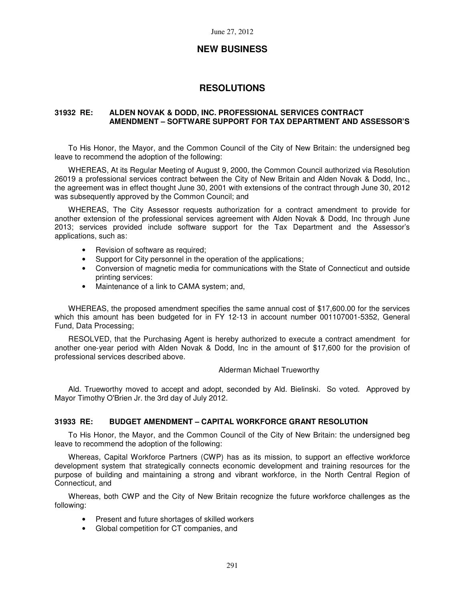# **NEW BUSINESS**

# **RESOLUTIONS**

#### **31932 RE: ALDEN NOVAK & DODD, INC. PROFESSIONAL SERVICES CONTRACT AMENDMENT – SOFTWARE SUPPORT FOR TAX DEPARTMENT AND ASSESSOR'S**

To His Honor, the Mayor, and the Common Council of the City of New Britain: the undersigned beg leave to recommend the adoption of the following:

WHEREAS, At its Regular Meeting of August 9, 2000, the Common Council authorized via Resolution 26019 a professional services contract between the City of New Britain and Alden Novak & Dodd, Inc., the agreement was in effect thought June 30, 2001 with extensions of the contract through June 30, 2012 was subsequently approved by the Common Council; and

WHEREAS, The City Assessor requests authorization for a contract amendment to provide for another extension of the professional services agreement with Alden Novak & Dodd, Inc through June 2013; services provided include software support for the Tax Department and the Assessor's applications, such as:

- Revision of software as required;
- Support for City personnel in the operation of the applications;
- Conversion of magnetic media for communications with the State of Connecticut and outside printing services:
- Maintenance of a link to CAMA system; and,

WHEREAS, the proposed amendment specifies the same annual cost of \$17,600.00 for the services which this amount has been budgeted for in FY 12-13 in account number 001107001-5352, General Fund, Data Processing;

RESOLVED, that the Purchasing Agent is hereby authorized to execute a contract amendment for another one-year period with Alden Novak & Dodd, Inc in the amount of \$17,600 for the provision of professional services described above.

#### Alderman Michael Trueworthy

Ald. Trueworthy moved to accept and adopt, seconded by Ald. Bielinski. So voted. Approved by Mayor Timothy O'Brien Jr. the 3rd day of July 2012.

#### **31933 RE: BUDGET AMENDMENT – CAPITAL WORKFORCE GRANT RESOLUTION**

To His Honor, the Mayor, and the Common Council of the City of New Britain: the undersigned beg leave to recommend the adoption of the following:

Whereas, Capital Workforce Partners (CWP) has as its mission, to support an effective workforce development system that strategically connects economic development and training resources for the purpose of building and maintaining a strong and vibrant workforce, in the North Central Region of Connecticut, and

Whereas, both CWP and the City of New Britain recognize the future workforce challenges as the following:

- Present and future shortages of skilled workers
- Global competition for CT companies, and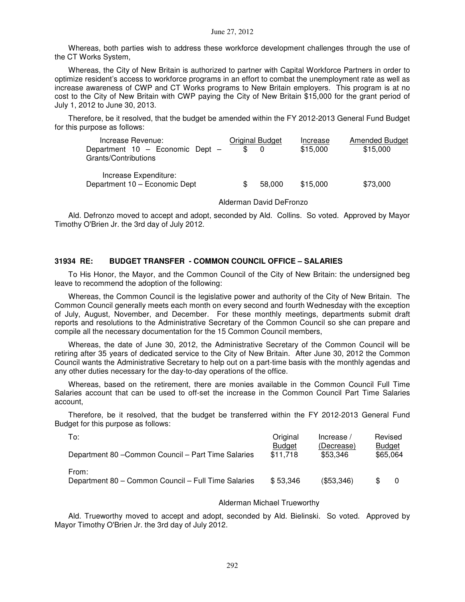Whereas, both parties wish to address these workforce development challenges through the use of the CT Works System,

Whereas, the City of New Britain is authorized to partner with Capital Workforce Partners in order to optimize resident's access to workforce programs in an effort to combat the unemployment rate as well as increase awareness of CWP and CT Works programs to New Britain employers. This program is at no cost to the City of New Britain with CWP paying the City of New Britain \$15,000 for the grant period of July 1, 2012 to June 30, 2013.

Therefore, be it resolved, that the budget be amended within the FY 2012-2013 General Fund Budget for this purpose as follows:

| Increase Revenue:               | Original Budget | Increase | <b>Amended Budget</b> |
|---------------------------------|-----------------|----------|-----------------------|
| Department 10 - Economic Dept - |                 | \$15,000 | \$15,000              |
| Grants/Contributions            |                 |          |                       |
| Increase Expenditure:           |                 |          |                       |
| Department 10 - Economic Dept   | 58,000          | \$15,000 | \$73,000              |

Alderman David DeFronzo

Ald. Defronzo moved to accept and adopt, seconded by Ald. Collins. So voted. Approved by Mayor Timothy O'Brien Jr. the 3rd day of July 2012.

## **31934 RE: BUDGET TRANSFER - COMMON COUNCIL OFFICE – SALARIES**

To His Honor, the Mayor, and the Common Council of the City of New Britain: the undersigned beg leave to recommend the adoption of the following:

Whereas, the Common Council is the legislative power and authority of the City of New Britain. The Common Council generally meets each month on every second and fourth Wednesday with the exception of July, August, November, and December. For these monthly meetings, departments submit draft reports and resolutions to the Administrative Secretary of the Common Council so she can prepare and compile all the necessary documentation for the 15 Common Council members,

Whereas, the date of June 30, 2012, the Administrative Secretary of the Common Council will be retiring after 35 years of dedicated service to the City of New Britain. After June 30, 2012 the Common Council wants the Administrative Secretary to help out on a part-time basis with the monthly agendas and any other duties necessary for the day-to-day operations of the office.

Whereas, based on the retirement, there are monies available in the Common Council Full Time Salaries account that can be used to off-set the increase in the Common Council Part Time Salaries account,

Therefore, be it resolved, that the budget be transferred within the FY 2012-2013 General Fund Budget for this purpose as follows:

| To:<br>Department 80 - Common Council - Part Time Salaries   | Original<br><b>Budget</b><br>\$11.718 | Increase /<br>(Decrease)<br>\$53.346 | Revised<br>Budget<br>\$65,064 |  |
|--------------------------------------------------------------|---------------------------------------|--------------------------------------|-------------------------------|--|
| From:<br>Department 80 - Common Council - Full Time Salaries | \$53.346                              | (S53.346)                            |                               |  |

#### Alderman Michael Trueworthy

Ald. Trueworthy moved to accept and adopt, seconded by Ald. Bielinski. So voted. Approved by Mayor Timothy O'Brien Jr. the 3rd day of July 2012.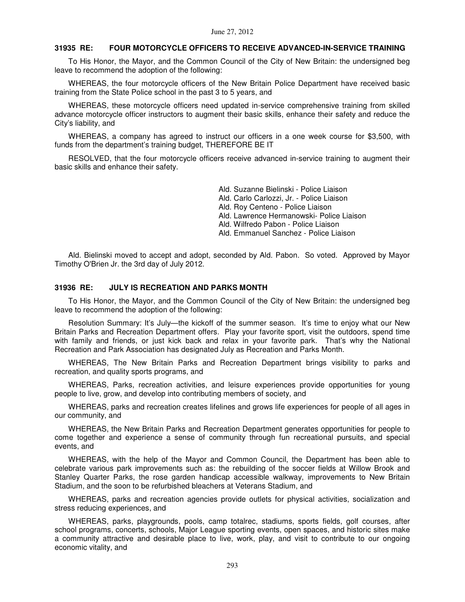#### **31935 RE: FOUR MOTORCYCLE OFFICERS TO RECEIVE ADVANCED-IN-SERVICE TRAINING**

To His Honor, the Mayor, and the Common Council of the City of New Britain: the undersigned beg leave to recommend the adoption of the following:

WHEREAS, the four motorcycle officers of the New Britain Police Department have received basic training from the State Police school in the past 3 to 5 years, and

WHEREAS, these motorcycle officers need updated in-service comprehensive training from skilled advance motorcycle officer instructors to augment their basic skills, enhance their safety and reduce the City's liability, and

WHEREAS, a company has agreed to instruct our officers in a one week course for \$3,500, with funds from the department's training budget, THEREFORE BE IT

RESOLVED, that the four motorcycle officers receive advanced in-service training to augment their basic skills and enhance their safety.

> Ald. Suzanne Bielinski - Police Liaison Ald. Carlo Carlozzi, Jr. - Police Liaison Ald. Roy Centeno - Police Liaison Ald. Lawrence Hermanowski- Police Liaison Ald. Wilfredo Pabon - Police Liaison Ald. Emmanuel Sanchez - Police Liaison

Ald. Bielinski moved to accept and adopt, seconded by Ald. Pabon. So voted. Approved by Mayor Timothy O'Brien Jr. the 3rd day of July 2012.

#### **31936 RE: JULY IS RECREATION AND PARKS MONTH**

To His Honor, the Mayor, and the Common Council of the City of New Britain: the undersigned beg leave to recommend the adoption of the following:

Resolution Summary: It's July—the kickoff of the summer season. It's time to enjoy what our New Britain Parks and Recreation Department offers. Play your favorite sport, visit the outdoors, spend time with family and friends, or just kick back and relax in your favorite park. That's why the National Recreation and Park Association has designated July as Recreation and Parks Month.

WHEREAS, The New Britain Parks and Recreation Department brings visibility to parks and recreation, and quality sports programs, and

WHEREAS, Parks, recreation activities, and leisure experiences provide opportunities for young people to live, grow, and develop into contributing members of society, and

WHEREAS, parks and recreation creates lifelines and grows life experiences for people of all ages in our community, and

WHEREAS, the New Britain Parks and Recreation Department generates opportunities for people to come together and experience a sense of community through fun recreational pursuits, and special events, and

WHEREAS, with the help of the Mayor and Common Council, the Department has been able to celebrate various park improvements such as: the rebuilding of the soccer fields at Willow Brook and Stanley Quarter Parks, the rose garden handicap accessible walkway, improvements to New Britain Stadium, and the soon to be refurbished bleachers at Veterans Stadium, and

WHEREAS, parks and recreation agencies provide outlets for physical activities, socialization and stress reducing experiences, and

WHEREAS, parks, playgrounds, pools, camp totalrec, stadiums, sports fields, golf courses, after school programs, concerts, schools, Major League sporting events, open spaces, and historic sites make a community attractive and desirable place to live, work, play, and visit to contribute to our ongoing economic vitality, and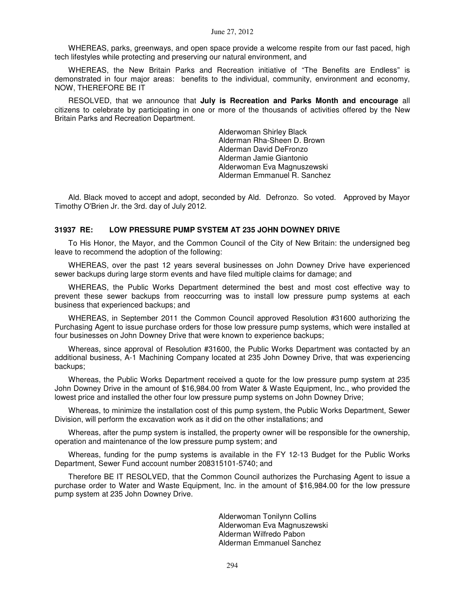WHEREAS, parks, greenways, and open space provide a welcome respite from our fast paced, high tech lifestyles while protecting and preserving our natural environment, and

WHEREAS, the New Britain Parks and Recreation initiative of "The Benefits are Endless" is demonstrated in four major areas: benefits to the individual, community, environment and economy, NOW, THEREFORE BE IT

RESOLVED, that we announce that **July is Recreation and Parks Month and encourage** all citizens to celebrate by participating in one or more of the thousands of activities offered by the New Britain Parks and Recreation Department.

> Alderwoman Shirley Black Alderman Rha-Sheen D. Brown Alderman David DeFronzo Alderman Jamie Giantonio Alderwoman Eva Magnuszewski Alderman Emmanuel R. Sanchez

Ald. Black moved to accept and adopt, seconded by Ald. Defronzo. So voted. Approved by Mayor Timothy O'Brien Jr. the 3rd. day of July 2012.

## **31937 RE: LOW PRESSURE PUMP SYSTEM AT 235 JOHN DOWNEY DRIVE**

To His Honor, the Mayor, and the Common Council of the City of New Britain: the undersigned beg leave to recommend the adoption of the following:

WHEREAS, over the past 12 years several businesses on John Downey Drive have experienced sewer backups during large storm events and have filed multiple claims for damage; and

WHEREAS, the Public Works Department determined the best and most cost effective way to prevent these sewer backups from reoccurring was to install low pressure pump systems at each business that experienced backups; and

WHEREAS, in September 2011 the Common Council approved Resolution #31600 authorizing the Purchasing Agent to issue purchase orders for those low pressure pump systems, which were installed at four businesses on John Downey Drive that were known to experience backups;

Whereas, since approval of Resolution #31600, the Public Works Department was contacted by an additional business, A-1 Machining Company located at 235 John Downey Drive, that was experiencing backups;

Whereas, the Public Works Department received a quote for the low pressure pump system at 235 John Downey Drive in the amount of \$16,984.00 from Water & Waste Equipment, Inc., who provided the lowest price and installed the other four low pressure pump systems on John Downey Drive;

Whereas, to minimize the installation cost of this pump system, the Public Works Department, Sewer Division, will perform the excavation work as it did on the other installations; and

Whereas, after the pump system is installed, the property owner will be responsible for the ownership, operation and maintenance of the low pressure pump system; and

Whereas, funding for the pump systems is available in the FY 12-13 Budget for the Public Works Department, Sewer Fund account number 208315101-5740; and

Therefore BE IT RESOLVED, that the Common Council authorizes the Purchasing Agent to issue a purchase order to Water and Waste Equipment, Inc. in the amount of \$16,984.00 for the low pressure pump system at 235 John Downey Drive.

> Alderwoman Tonilynn Collins Alderwoman Eva Magnuszewski Alderman Wilfredo Pabon Alderman Emmanuel Sanchez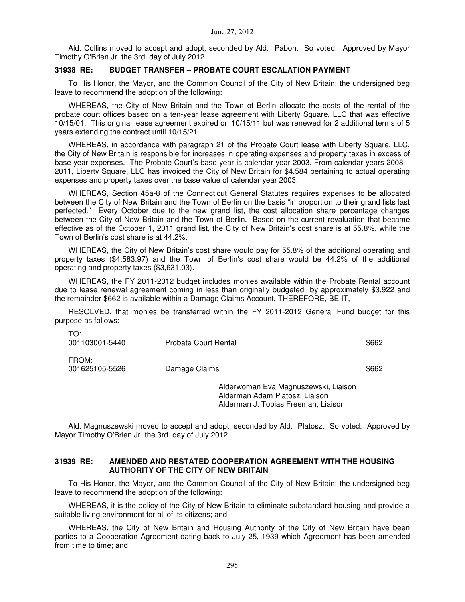Ald. Collins moved to accept and adopt, seconded by Ald. Pabon. So voted. Approved by Mayor Timothy O'Brien Jr. the 3rd. day of July 2012.

#### **31938 RE: BUDGET TRANSFER – PROBATE COURT ESCALATION PAYMENT**

To His Honor, the Mayor, and the Common Council of the City of New Britain: the undersigned beg leave to recommend the adoption of the following:

WHEREAS, the City of New Britain and the Town of Berlin allocate the costs of the rental of the probate court offices based on a ten-year lease agreement with Liberty Square, LLC that was effective 10/15/01. This original lease agreement expired on 10/15/11 but was renewed for 2 additional terms of 5 years extending the contract until 10/15/21.

WHEREAS, in accordance with paragraph 21 of the Probate Court lease with Liberty Square, LLC, the City of New Britain is responsible for increases in operating expenses and property taxes in excess of base year expenses. The Probate Court's base year is calendar year 2003. From calendar years 2008 – 2011, Liberty Square, LLC has invoiced the City of New Britain for \$4,584 pertaining to actual operating expenses and property taxes over the base value of calendar year 2003.

WHEREAS, Section 45a-8 of the Connecticut General Statutes requires expenses to be allocated between the City of New Britain and the Town of Berlin on the basis "in proportion to their grand lists last perfected." Every October due to the new grand list, the cost allocation share percentage changes between the City of New Britain and the Town of Berlin. Based on the current revaluation that became effective as of the October 1, 2011 grand list, the City of New Britain's cost share is at 55.8%, while the Town of Berlin's cost share is at 44.2%.

WHEREAS, the City of New Britain's cost share would pay for 55.8% of the additional operating and property taxes (\$4,583.97) and the Town of Berlin's cost share would be 44.2% of the additional operating and property taxes (\$3,631.03).

WHEREAS, the FY 2011-2012 budget includes monies available within the Probate Rental account due to lease renewal agreement coming in less than originally budgeted by approximately \$3,922 and the remainder \$662 is available within a Damage Claims Account, THEREFORE, BE IT,

RESOLVED, that monies be transferred within the FY 2011-2012 General Fund budget for this purpose as follows:

| TO:<br>001103001-5440   | <b>Probate Court Rental</b> | \$662 |
|-------------------------|-----------------------------|-------|
| FROM:<br>001625105-5526 | Damage Claims               | \$662 |

Alderwoman Eva Magnuszewski, Liaison Alderman Adam Platosz, Liaison Alderman J. Tobias Freeman, Liaison

Ald. Magnuszewski moved to accept and adopt, seconded by Ald. Platosz. So voted. Approved by Mayor Timothy O'Brien Jr. the 3rd. day of July 2012.

## **31939 RE: AMENDED AND RESTATED COOPERATION AGREEMENT WITH THE HOUSING AUTHORITY OF THE CITY OF NEW BRITAIN**

To His Honor, the Mayor, and the Common Council of the City of New Britain: the undersigned beg leave to recommend the adoption of the following:

WHEREAS, it is the policy of the City of New Britain to eliminate substandard housing and provide a suitable living environment for all of its citizens; and

WHEREAS, the City of New Britain and Housing Authority of the City of New Britain have been parties to a Cooperation Agreement dating back to July 25, 1939 which Agreement has been amended from time to time; and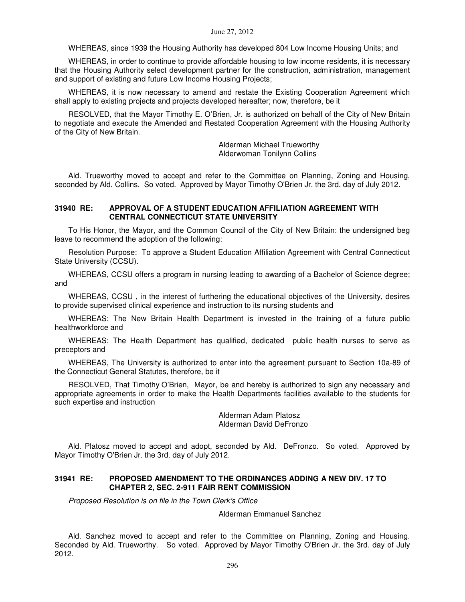WHEREAS, since 1939 the Housing Authority has developed 804 Low Income Housing Units; and

WHEREAS, in order to continue to provide affordable housing to low income residents, it is necessary that the Housing Authority select development partner for the construction, administration, management and support of existing and future Low Income Housing Projects;

WHEREAS, it is now necessary to amend and restate the Existing Cooperation Agreement which shall apply to existing projects and projects developed hereafter; now, therefore, be it

RESOLVED, that the Mayor Timothy E. O'Brien, Jr. is authorized on behalf of the City of New Britain to negotiate and execute the Amended and Restated Cooperation Agreement with the Housing Authority of the City of New Britain.

> Alderman Michael Trueworthy Alderwoman Tonilynn Collins

Ald. Trueworthy moved to accept and refer to the Committee on Planning, Zoning and Housing, seconded by Ald. Collins. So voted. Approved by Mayor Timothy O'Brien Jr. the 3rd. day of July 2012.

#### **31940 RE: APPROVAL OF A STUDENT EDUCATION AFFILIATION AGREEMENT WITH CENTRAL CONNECTICUT STATE UNIVERSITY**

To His Honor, the Mayor, and the Common Council of the City of New Britain: the undersigned beg leave to recommend the adoption of the following:

Resolution Purpose: To approve a Student Education Affiliation Agreement with Central Connecticut State University (CCSU).

WHEREAS, CCSU offers a program in nursing leading to awarding of a Bachelor of Science degree; and

WHEREAS, CCSU , in the interest of furthering the educational objectives of the University, desires to provide supervised clinical experience and instruction to its nursing students and

WHEREAS; The New Britain Health Department is invested in the training of a future public healthworkforce and

WHEREAS; The Health Department has qualified, dedicated public health nurses to serve as preceptors and

WHEREAS, The University is authorized to enter into the agreement pursuant to Section 10a-89 of the Connecticut General Statutes, therefore, be it

RESOLVED, That Timothy O'Brien, Mayor, be and hereby is authorized to sign any necessary and appropriate agreements in order to make the Health Departments facilities available to the students for such expertise and instruction

> Alderman Adam Platosz Alderman David DeFronzo

Ald. Platosz moved to accept and adopt, seconded by Ald. DeFronzo. So voted. Approved by Mayor Timothy O'Brien Jr. the 3rd. day of July 2012.

#### **31941 RE: PROPOSED AMENDMENT TO THE ORDINANCES ADDING A NEW DIV. 17 TO CHAPTER 2, SEC. 2-911 FAIR RENT COMMISSION**

Proposed Resolution is on file in the Town Clerk's Office

Alderman Emmanuel Sanchez

Ald. Sanchez moved to accept and refer to the Committee on Planning, Zoning and Housing. Seconded by Ald. Trueworthy. So voted. Approved by Mayor Timothy O'Brien Jr. the 3rd. day of July 2012.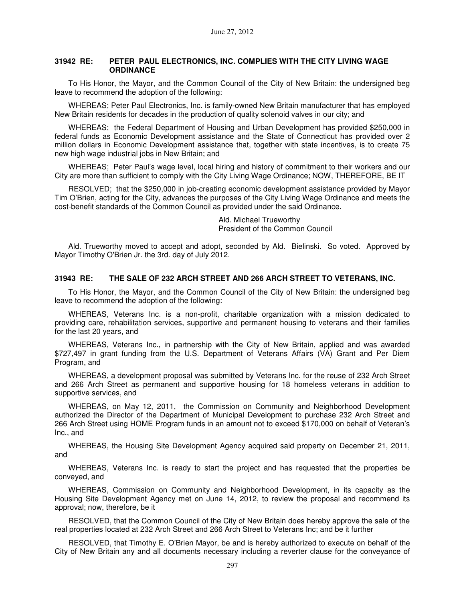#### **31942 RE: PETER PAUL ELECTRONICS, INC. COMPLIES WITH THE CITY LIVING WAGE ORDINANCE**

To His Honor, the Mayor, and the Common Council of the City of New Britain: the undersigned beg leave to recommend the adoption of the following:

WHEREAS; Peter Paul Electronics, Inc. is family-owned New Britain manufacturer that has employed New Britain residents for decades in the production of quality solenoid valves in our city; and

WHEREAS; the Federal Department of Housing and Urban Development has provided \$250,000 in federal funds as Economic Development assistance and the State of Connecticut has provided over 2 million dollars in Economic Development assistance that, together with state incentives, is to create 75 new high wage industrial jobs in New Britain; and

WHEREAS; Peter Paul's wage level, local hiring and history of commitment to their workers and our City are more than sufficient to comply with the City Living Wage Ordinance; NOW, THEREFORE, BE IT

RESOLVED; that the \$250,000 in job-creating economic development assistance provided by Mayor Tim O'Brien, acting for the City, advances the purposes of the City Living Wage Ordinance and meets the cost-benefit standards of the Common Council as provided under the said Ordinance.

> Ald. Michael Trueworthy President of the Common Council

Ald. Trueworthy moved to accept and adopt, seconded by Ald. Bielinski. So voted. Approved by Mayor Timothy O'Brien Jr. the 3rd. day of July 2012.

#### **31943 RE: THE SALE OF 232 ARCH STREET AND 266 ARCH STREET TO VETERANS, INC.**

To His Honor, the Mayor, and the Common Council of the City of New Britain: the undersigned beg leave to recommend the adoption of the following:

WHEREAS, Veterans Inc. is a non-profit, charitable organization with a mission dedicated to providing care, rehabilitation services, supportive and permanent housing to veterans and their families for the last 20 years, and

WHEREAS, Veterans Inc., in partnership with the City of New Britain, applied and was awarded \$727,497 in grant funding from the U.S. Department of Veterans Affairs (VA) Grant and Per Diem Program, and

WHEREAS, a development proposal was submitted by Veterans Inc. for the reuse of 232 Arch Street and 266 Arch Street as permanent and supportive housing for 18 homeless veterans in addition to supportive services, and

WHEREAS, on May 12, 2011, the Commission on Community and Neighborhood Development authorized the Director of the Department of Municipal Development to purchase 232 Arch Street and 266 Arch Street using HOME Program funds in an amount not to exceed \$170,000 on behalf of Veteran's Inc., and

WHEREAS, the Housing Site Development Agency acquired said property on December 21, 2011, and

WHEREAS, Veterans Inc. is ready to start the project and has requested that the properties be conveyed, and

WHEREAS, Commission on Community and Neighborhood Development, in its capacity as the Housing Site Development Agency met on June 14, 2012, to review the proposal and recommend its approval; now, therefore, be it

RESOLVED, that the Common Council of the City of New Britain does hereby approve the sale of the real properties located at 232 Arch Street and 266 Arch Street to Veterans Inc; and be it further

RESOLVED, that Timothy E. O'Brien Mayor, be and is hereby authorized to execute on behalf of the City of New Britain any and all documents necessary including a reverter clause for the conveyance of